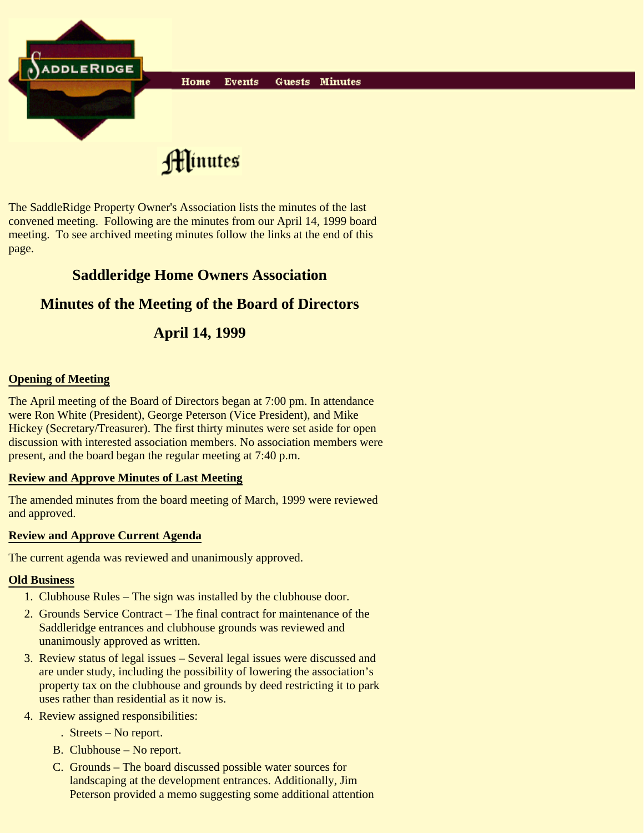

The SaddleRidge Property Owner's Association lists the minutes of the last convened meeting. Following are the minutes from our April 14, 1999 board meeting. To see archived meeting minutes follow the links at the end of this page.

# **Saddleridge Home Owners Association**

## **Minutes of the Meeting of the Board of Directors**

# **April 14, 1999**

### **Opening of Meeting**

The April meeting of the Board of Directors began at 7:00 pm. In attendance were Ron White (President), George Peterson (Vice President), and Mike Hickey (Secretary/Treasurer). The first thirty minutes were set aside for open discussion with interested association members. No association members were present, and the board began the regular meeting at 7:40 p.m.

#### **Review and Approve Minutes of Last Meeting**

The amended minutes from the board meeting of March, 1999 were reviewed and approved.

#### **Review and Approve Current Agenda**

The current agenda was reviewed and unanimously approved.

#### **Old Business**

- 1. Clubhouse Rules The sign was installed by the clubhouse door.
- 2. Grounds Service Contract The final contract for maintenance of the Saddleridge entrances and clubhouse grounds was reviewed and unanimously approved as written.
- 3. Review status of legal issues Several legal issues were discussed and are under study, including the possibility of lowering the association's property tax on the clubhouse and grounds by deed restricting it to park uses rather than residential as it now is.
- 4. Review assigned responsibilities:
	- . Streets No report.
	- B. Clubhouse No report.
	- C. Grounds The board discussed possible water sources for landscaping at the development entrances. Additionally, Jim Peterson provided a memo suggesting some additional attention